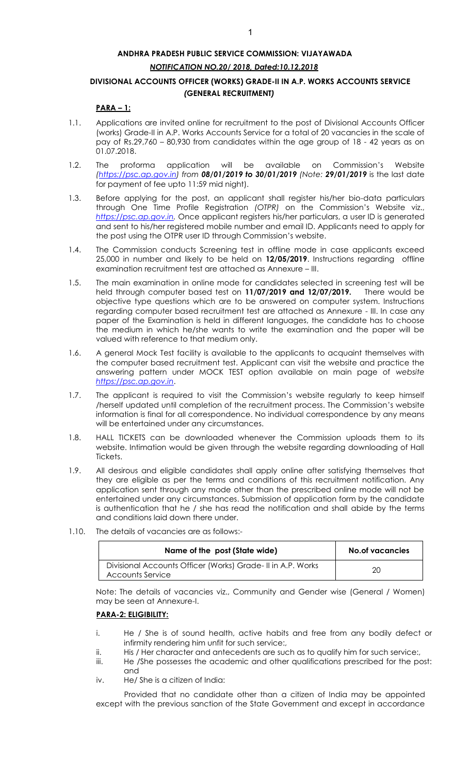# **ANDHRA PRADESH PUBLIC SERVICE COMMISSION: VIJAYAWADA**  *NOTIFICATION NO.20/ 2018, Dated:10.12.2018*

# **DIVISIONAL ACCOUNTS OFFICER (WORKS) GRADE-II IN A.P. WORKS ACCOUNTS SERVICE**   *(***GENERAL RECRUITMENT***)*

## **PARA – 1:**

- 1.1. Applications are invited online for recruitment to the post of Divisional Accounts Officer (works) Grade-II in A.P. Works Accounts Service for a total of 20 vacancies in the scale of pay of Rs.29,760 – 80,930 from candidates within the age group of 18 - 42 years as on 01.07.2018.
- 1.2. The proforma application will be available on Commission's Website *[\(https://psc.ap.gov.in\)](https://psc.ap.gov.in/) from 08/01/2019 to 30/01/2019 (Note: 29/01/2019* is the last date for payment of fee upto 11:59 mid night).
- 1.3. Before applying for the post, an applicant shall register his/her bio-data particulars through One Time Profile Registration *(OTPR)* on the Commission's Website viz., *[https://psc.ap.gov.in.](http://www.psc.ap.gov.in/)* Once applicant registers his/her particulars, a user ID is generated and sent to his/her registered mobile number and email ID. Applicants need to apply for the post using the OTPR user ID through Commission's website.
- 1.4. The Commission conducts Screening test in offline mode in case applicants exceed 25,000 in number and likely to be held on **12/05/2019**. Instructions regarding offline examination recruitment test are attached as Annexure – III.
- 1.5. The main examination in online mode for candidates selected in screening test will be held through computer based test on **11/07/2019 and 12/07/2019.** There would be objective type questions which are to be answered on computer system. Instructions regarding computer based recruitment test are attached as Annexure - III. In case any paper of the Examination is held in different languages, the candidate has to choose the medium in which he/she wants to write the examination and the paper will be valued with reference to that medium only.
- 1.6. A general Mock Test facility is available to the applicants to acquaint themselves with the computer based recruitment test. Applicant can visit the website and practice the answering pattern under MOCK TEST option available on main page of *website [https://psc.ap.gov.in](http://www.psc.ap.gov.in/)*.
- 1.7. The applicant is required to visit the Commission's website regularly to keep himself /herself updated until completion of the recruitment process. The Commission's website information is final for all correspondence. No individual correspondence by any means will be entertained under any circumstances.
- 1.8. HALL TICKETS can be downloaded whenever the Commission uploads them to its website. Intimation would be given through the website regarding downloading of Hall Tickets.
- 1.9. All desirous and eligible candidates shall apply online after satisfying themselves that they are eligible as per the terms and conditions of this recruitment notification. Any application sent through any mode other than the prescribed online mode will not be entertained under any circumstances. Submission of application form by the candidate is authentication that he / she has read the notification and shall abide by the terms and conditions laid down there under.
- 1.10. The details of vacancies are as follows:-

| Name of the post (State wide)                                                         | <b>No.of vacancies</b> |
|---------------------------------------------------------------------------------------|------------------------|
| Divisional Accounts Officer (Works) Grade-II in A.P. Works<br><b>Accounts Service</b> | 20                     |

Note: The details of vacancies viz., Community and Gender wise (General / Women) may be seen at Annexure-I.

## **PARA-2: ELIGIBILITY:**

- i. He / She is of sound health, active habits and free from any bodily defect or infirmity rendering him unfit for such service:,
- ii. His / Her character and antecedents are such as to qualify him for such service:,
- iii. He /She possesses the academic and other qualifications prescribed for the post: and
- iv. He/ She is a citizen of India:

 Provided that no candidate other than a citizen of India may be appointed except with the previous sanction of the State Government and except in accordance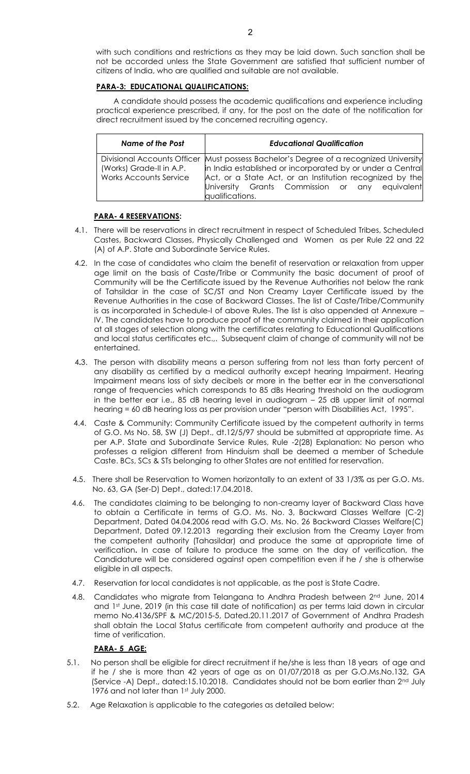with such conditions and restrictions as they may be laid down. Such sanction shall be not be accorded unless the State Government are satisfied that sufficient number of citizens of India, who are qualified and suitable are not available.

# **PARA-3: EDUCATIONAL QUALIFICATIONS:**

 A candidate should possess the academic qualifications and experience including practical experience prescribed, if any, for the post on the date of the notification for direct recruitment issued by the concerned recruiting agency.

| <b>Name of the Post</b>       | <b>Educational Qualification</b>                                                      |  |  |  |
|-------------------------------|---------------------------------------------------------------------------------------|--|--|--|
|                               | Divisional Accounts Officer Must possess Bachelor's Degree of a recognized University |  |  |  |
| (Works) Grade-II in A.P.      | in India established or incorporated by or under a Central                            |  |  |  |
| <b>Works Accounts Service</b> | Act, or a State Act, or an Institution recognized by the                              |  |  |  |
|                               | University Grants Commission or any equivalent                                        |  |  |  |
|                               | qualifications.                                                                       |  |  |  |

## **PARA- 4 RESERVATIONS:**

- 4.1.There will be reservations in direct recruitment in respect of Scheduled Tribes, Scheduled Castes, Backward Classes, Physically Challenged and Women as per Rule 22 and 22 (A) of A.P. State and Subordinate Service Rules.
- 4.2. In the case of candidates who claim the benefit of reservation or relaxation from upper age limit on the basis of Caste/Tribe or Community the basic document of proof of Community will be the Certificate issued by the Revenue Authorities not below the rank of Tahsildar in the case of SC/ST and Non Creamy Layer Certificate issued by the Revenue Authorities in the case of Backward Classes. The list of Caste/Tribe/Community is as incorporated in Schedule-I of above Rules. The list is also appended at Annexure – IV. The candidates have to produce proof of the community claimed in their application at all stages of selection along with the certificates relating to Educational Qualifications and local status certificates etc.,. Subsequent claim of change of community will not be entertained.
- 4**.**3. The person with disability means a person suffering from not less than forty percent of any disability as certified by a medical authority except hearing Impairment. Hearing Impairment means loss of sixty decibels or more in the better ear in the conversational range of frequencies which corresponds to 85 dBs Hearing threshold on the audiogram in the better ear i.e., 85 dB hearing level in audiogram – 25 dB upper limit of normal hearing = 60 dB hearing loss as per provision under "person with Disabilities Act, 1995".
- 4.4. Caste & Community: Community Certificate issued by the competent authority in terms of G.O. Ms No. 58, SW (J) Dept., dt.12/5/97 should be submitted at appropriate time. As per A.P. State and Subordinate Service Rules, Rule -2(28) Explanation: No person who professes a religion different from Hinduism shall be deemed a member of Schedule Caste. BCs, SCs & STs belonging to other States are not entitled for reservation.
- 4.5. There shall be Reservation to Women horizontally to an extent of 33 1/3% as per G.O. Ms. No. 63, GA (Ser-D) Dept., dated:17.04.2018.
- 4.6. The candidates claiming to be belonging to non-creamy layer of Backward Class have to obtain a Certificate in terms of G.O. Ms. No. 3, Backward Classes Welfare (C-2) Department, Dated 04.04.2006 read with G.O. Ms. No. 26 Backward Classes Welfare(C) Department, Dated 09.12.2013 regarding their exclusion from the Creamy Layer from the competent authority (Tahasildar) and produce the same at appropriate time of verification**.** In case of failure to produce the same on the day of verification, the Candidature will be considered against open competition even if he / she is otherwise eligible in all aspects.
- 4.7. Reservation for local candidates is not applicable, as the post is State Cadre.
- 4.8. Candidates who migrate from Telangana to Andhra Pradesh between 2<sup>nd</sup> June, 2014 and 1st June, 2019 (in this case till date of notification) as per terms laid down in circular memo No.4136/SPF & MC/2015-5, Dated.20.11.2017 of Government of Andhra Pradesh shall obtain the Local Status certificate from competent authority and produce at the time of verification.

# **PARA- 5 AGE:**

- 5.1. No person shall be eligible for direct recruitment if he/she is less than 18 years of age and if he / she is more than 42 years of age as on 01/07/2018 as per G.O.Ms.No.132, GA (Service -A) Dept., dated:15.10.2018. Candidates should not be born earlier than 2nd July 1976 and not later than 1st July 2000.
- 5.2. Age Relaxation is applicable to the categories as detailed below: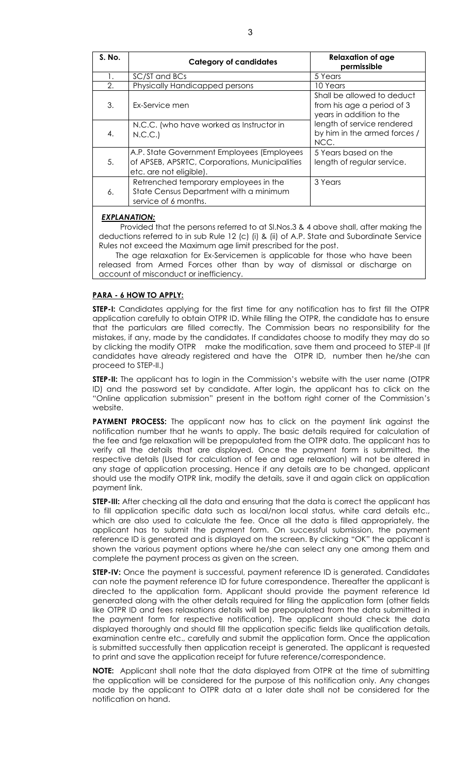| S. No. | <b>Category of candidates</b>                                                                                           | <b>Relaxation of age</b><br>permissible                                              |  |  |
|--------|-------------------------------------------------------------------------------------------------------------------------|--------------------------------------------------------------------------------------|--|--|
| 1.     | SC/ST and BCs                                                                                                           | 5 Years                                                                              |  |  |
| 2.     | Physically Handicapped persons                                                                                          | 10 Years                                                                             |  |  |
| 3.     | Ex-Service men                                                                                                          | Shall be allowed to deduct<br>from his age a period of 3<br>years in addition to the |  |  |
| 4.     | N.C.C. (who have worked as Instructor in<br>N.C.C.                                                                      | length of service rendered<br>by him in the armed forces /<br>NCC.                   |  |  |
| 5.     | A.P. State Government Employees (Employees<br>of APSEB, APSRTC, Corporations, Municipalities<br>etc. are not eligible). | 5 Years based on the<br>length of regular service.                                   |  |  |
| 6.     | Retrenched temporary employees in the<br>State Census Department with a minimum<br>service of 6 months.                 | 3 Years                                                                              |  |  |

## *EXPLANATION:*

Provided that the persons referred to at Sl.Nos.3 & 4 above shall, after making the deductions referred to in sub Rule 12 (c) (i) & (ii) of A.P. State and Subordinate Service Rules not exceed the Maximum age limit prescribed for the post.

 The age relaxation for Ex-Servicemen is applicable for those who have been released from Armed Forces other than by way of dismissal or discharge on account of misconduct or inefficiency.

## **PARA - 6 HOW TO APPLY:**

**STEP-I:** Candidates applying for the first time for any notification has to first fill the OTPR application carefully to obtain OTPR ID. While filling the OTPR, the candidate has to ensure that the particulars are filled correctly. The Commission bears no responsibility for the mistakes, if any, made by the candidates. If candidates choose to modify they may do so by clicking the modify OTPR make the modification, save them and proceed to STEP-II (If candidates have already registered and have the OTPR ID, number then he/she can proceed to STEP-II.)

**STEP-II:** The applicant has to login in the Commission's website with the user name (OTPR) ID) and the password set by candidate. After login, the applicant has to click on the "Online application submission" present in the bottom right corner of the Commission's website.

**PAYMENT PROCESS:** The applicant now has to click on the payment link against the notification number that he wants to apply. The basic details required for calculation of the fee and fge relaxation will be prepopulated from the OTPR data. The applicant has to verify all the details that are displayed. Once the payment form is submitted, the respective details (Used for calculation of fee and age relaxation) will not be altered in any stage of application processing. Hence if any details are to be changed, applicant should use the modify OTPR link, modify the details, save it and again click on application payment link.

**STEP-III:** After checking all the data and ensuring that the data is correct the applicant has to fill application specific data such as local/non local status, white card details etc., which are also used to calculate the fee. Once all the data is filled appropriately, the applicant has to submit the payment form. On successful submission, the payment reference ID is generated and is displayed on the screen. By clicking "OK" the applicant is shown the various payment options where he/she can select any one among them and complete the payment process as given on the screen.

**STEP-IV:** Once the payment is successful, payment reference ID is generated. Candidates can note the payment reference ID for future correspondence. Thereafter the applicant is directed to the application form. Applicant should provide the payment reference Id generated along with the other details required for filing the application form (other fields like OTPR ID and fees relaxations details will be prepopulated from the data submitted in the payment form for respective notification). The applicant should check the data displayed thoroughly and should fill the application specific fields like qualification details, examination centre etc., carefully and submit the application form. Once the application is submitted successfully then application receipt is generated. The applicant is requested to print and save the application receipt for future reference/correspondence.

**NOTE:** Applicant shall note that the data displayed from OTPR at the time of submitting the application will be considered for the purpose of this notification only. Any changes made by the applicant to OTPR data at a later date shall not be considered for the notification on hand.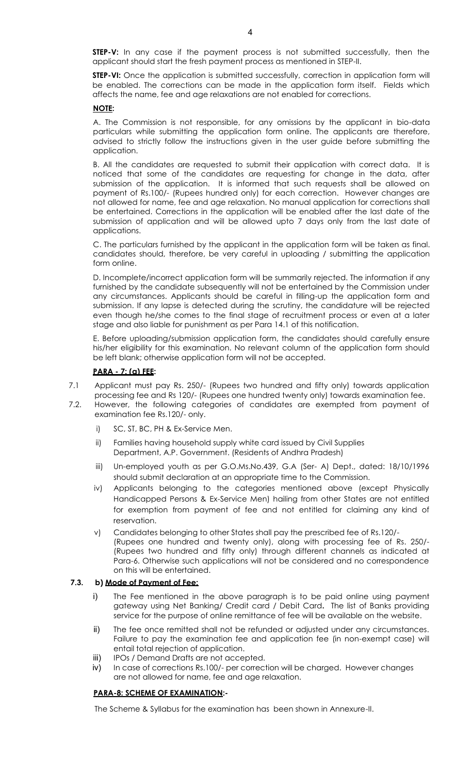**STEP-V:** In any case if the payment process is not submitted successfully, then the applicant should start the fresh payment process as mentioned in STEP-II.

**STEP-VI:** Once the application is submitted successfully, correction in application form will be enabled. The corrections can be made in the application form itself. Fields which affects the name, fee and age relaxations are not enabled for corrections.

#### **NOTE:**

 A. The Commission is not responsible, for any omissions by the applicant in bio-data particulars while submitting the application form online. The applicants are therefore, advised to strictly follow the instructions given in the user guide before submitting the application.

 B. All the candidates are requested to submit their application with correct data. It is noticed that some of the candidates are requesting for change in the data, after submission of the application. It is informed that such requests shall be allowed on payment of Rs.100/- (Rupees hundred only) for each correction. However changes are not allowed for name, fee and age relaxation. No manual application for corrections shall be entertained. Corrections in the application will be enabled after the last date of the submission of application and will be allowed upto 7 days only from the last date of applications.

 C. The particulars furnished by the applicant in the application form will be taken as final. candidates should, therefore, be very careful in uploading / submitting the application form online.

 D. Incomplete/incorrect application form will be summarily rejected. The information if any furnished by the candidate subsequently will not be entertained by the Commission under any circumstances. Applicants should be careful in filling-up the application form and submission. If any lapse is detected during the scrutiny, the candidature will be rejected even though he/she comes to the final stage of recruitment process or even at a later stage and also liable for punishment as per Para 14.1 of this notification.

 E. Before uploading/submission application form, the candidates should carefully ensure his/her eligibility for this examination. No relevant column of the application form should be left blank; otherwise application form will not be accepted.

## **PARA - 7: (a) FEE:**

- 7.1 Applicant must pay Rs. 250/- (Rupees two hundred and fifty only) towards application processing fee and Rs 120/- (Rupees one hundred twenty only) towards examination fee.
- 7.2. However, the following categories of candidates are exempted from payment of examination fee Rs.120/- only.
	- i) SC, ST, BC, PH & Ex-Service Men.
	- ii) Families having household supply white card issued by Civil Supplies Department, A.P. Government. (Residents of Andhra Pradesh)
	- iii) Un-employed youth as per G.O.Ms.No.439, G.A (Ser- A) Dept., dated: 18/10/1996 should submit declaration at an appropriate time to the Commission.
	- iv) Applicants belonging to the categories mentioned above (except Physically Handicapped Persons & Ex-Service Men) hailing from other States are not entitled for exemption from payment of fee and not entitled for claiming any kind of reservation.
	- v) Candidates belonging to other States shall pay the prescribed fee of Rs.120/- (Rupees one hundred and twenty only), along with processing fee of Rs. 250/- (Rupees two hundred and fifty only) through different channels as indicated at Para-6. Otherwise such applications will not be considered and no correspondence on this will be entertained.

## **7.3. b) Mode of Payment of Fee:**

- i) The Fee mentioned in the above paragraph is to be paid online using payment gateway using Net Banking/ Credit card / Debit Card**.** The list of Banks providing service for the purpose of online remittance of fee will be available on the website.
- ii) The fee once remitted shall not be refunded or adjusted under any circumstances. Failure to pay the examination fee and application fee (in non-exempt case) will entail total rejection of application.
- iii) IPOs / Demand Drafts are not accepted.
- iv) In case of corrections Rs.100/- per correction will be charged. However changes are not allowed for name, fee and age relaxation.

## **PARA-8: SCHEME OF EXAMINATION:-**

The Scheme & Syllabus for the examination has been shown in Annexure-II.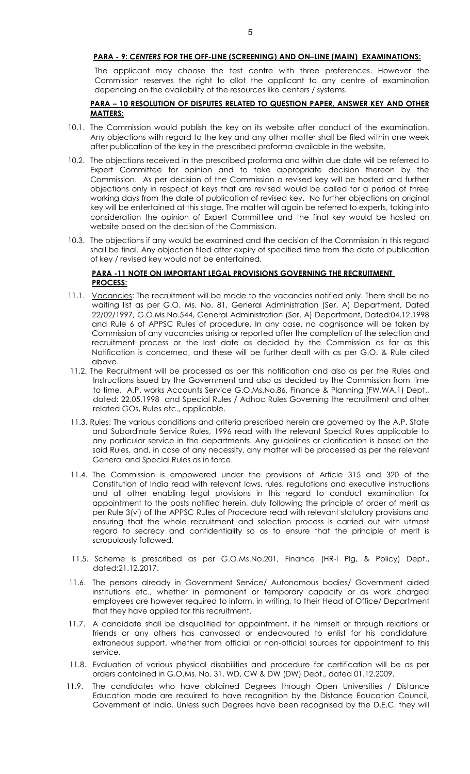### **PARA - 9:** *CENTERS* **FOR THE OFF-LINE (SCREENING) AND ON–LINE (MAIN) EXAMINATIONS:**

The applicant may choose the test centre with three preferences. However the Commission reserves the right to allot the applicant to any centre of examination depending on the availability of the resources like centers / systems.

## **PARA – 10 RESOLUTION OF DISPUTES RELATED TO QUESTION PAPER, ANSWER KEY AND OTHER MATTERS:**

- 10.1. The Commission would publish the key on its website after conduct of the examination. Any objections with regard to the key and any other matter shall be filed within one week after publication of the key in the prescribed proforma available in the website.
- 10.2. The objections received in the prescribed proforma and within due date will be referred to Expert Committee for opinion and to take appropriate decision thereon by the Commission. As per decision of the Commission a revised key will be hosted and further objections only in respect of keys that are revised would be called for a period of three working days from the date of publication of revised key. No further objections on original key will be entertained at this stage. The matter will again be referred to experts, taking into consideration the opinion of Expert Committee and the final key would be hosted on website based on the decision of the Commission.
- 10.3. The objections if any would be examined and the decision of the Commission in this regard shall be final. Any objection filed after expiry of specified time from the date of publication of key / revised key would not be entertained.

### **PARA -11 NOTE ON IMPORTANT LEGAL PROVISIONS GOVERNING THE RECRUITMENT PROCESS:**

- 11.1. <u>Vacancies</u>: The recruitment will be made to the vacancies notified only. There shall be no waiting list as per G.O. Ms. No. 81, General Administration (Ser. A) Department, Dated 22/02/1997, G.O.Ms.No.544, General Administration (Ser. A) Department, Dated:04.12.1998 and Rule 6 of APPSC Rules of procedure. In any case, no cognisance will be taken by Commission of any vacancies arising or reported after the completion of the selection and recruitment process or the last date as decided by the Commission as far as this Notification is concerned, and these will be further dealt with as per G.O. & Rule cited above.
- 11.2. The Recruitment will be processed as per this notification and also as per the Rules and Instructions issued by the Government and also as decided by the Commission from time to time. A.P. works Accounts Service G.O.Ms.No.86, Finance & Planning (FW.WA.1) Dept., dated: 22.05.1998 and Special Rules / Adhoc Rules Governing the recruitment and other related GOs, Rules etc., applicable.
- 11.3. Rules: The various conditions and criteria prescribed herein are governed by the A.P. State and Subordinate Service Rules, 1996 read with the relevant Special Rules applicable to any particular service in the departments. Any guidelines or clarification is based on the said Rules, and, in case of any necessity, any matter will be processed as per the relevant General and Special Rules as in force.
- 11.4. The Commission is empowered under the provisions of Article 315 and 320 of the Constitution of India read with relevant laws, rules, regulations and executive instructions and all other enabling legal provisions in this regard to conduct examination for appointment to the posts notified herein, duly following the principle of order of merit as per Rule 3(vi) of the APPSC Rules of Procedure read with relevant statutory provisions and ensuring that the whole recruitment and selection process is carried out with utmost regard to secrecy and confidentiality so as to ensure that the principle of merit is scrupulously followed.
- 11.5. Scheme is prescribed as per G.O.Ms.No.201, Finance (HR-I Plg, & Policy) Dept., dated:21.12.2017.
- 11.6. The persons already in Government Service/ Autonomous bodies/ Government aided institutions etc., whether in permanent or temporary capacity or as work charged employees are however required to inform, in writing, to their Head of Office/ Department that they have applied for this recruitment.
- 11.7. A candidate shall be disqualified for appointment, if he himself or through relations or friends or any others has canvassed or endeavoured to enlist for his candidature, extraneous support, whether from official or non-official sources for appointment to this service.
- 11.8. Evaluation of various physical disabilities and procedure for certification will be as per orders contained in G.O.Ms. No. 31, WD, CW & DW (DW) Dept., dated 01.12.2009.
- 11.9. The candidates who have obtained Degrees through Open Universities / Distance Education mode are required to have recognition by the Distance Education Council, Government of India. Unless such Degrees have been recognised by the D.E.C. they will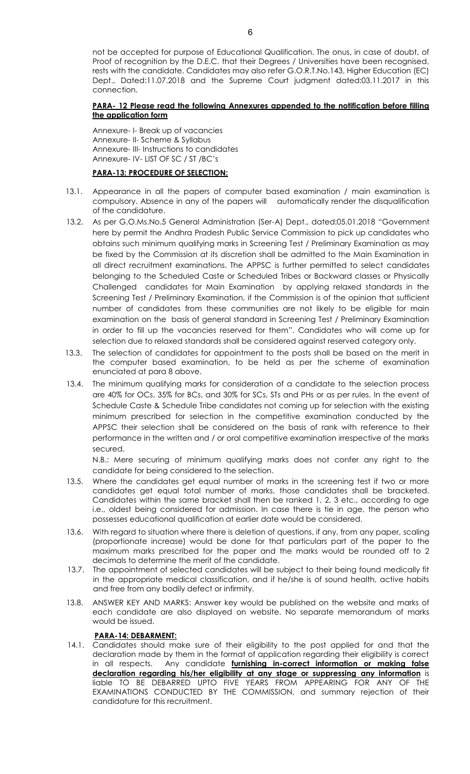not be accepted for purpose of Educational Qualification. The onus, in case of doubt, of Proof of recognition by the D.E.C. that their Degrees / Universities have been recognised, rests with the candidate. Candidates may also refer G.O.R.T.No.143, Higher Education (EC) Dept., Dated:11.07.2018 and the Supreme Court judgment dated:03.11.2017 in this connection.

## **PARA- 12 Please read the following Annexures appended to the notification before filling the application form**

Annexure- I- Break up of vacancies Annexure- II- Scheme & Syllabus Annexure- III- Instructions to candidates Annexure- IV- LIST OF SC / ST /BC's

## **PARA-13: PROCEDURE OF SELECTION:**

- 13.1. Appearance in all the papers of computer based examination / main examination is compulsory. Absence in any of the papers will automatically render the disqualification of the candidature.
- 13.2. As per G.O.Ms.No.5 General Administration (Ser-A) Dept., dated:05.01.2018 "Government here by permit the Andhra Pradesh Public Service Commission to pick up candidates who obtains such minimum qualifying marks in Screening Test / Preliminary Examination as may be fixed by the Commission at its discretion shall be admitted to the Main Examination in all direct recruitment examinations. The APPSC is further permitted to select candidates belonging to the Scheduled Caste or Scheduled Tribes or Backward classes or Physically Challenged candidates for Main Examination by applying relaxed standards in the Screening Test / Preliminary Examination, if the Commission is of the opinion that sufficient number of candidates from these communities are not likely to be eligible for main examination on the basis of general standard in Screening Test / Preliminary Examination in order to fill up the vacancies reserved for them". Candidates who will come up for selection due to relaxed standards shall be considered against reserved category only.
- 13.3. The selection of candidates for appointment to the posts shall be based on the merit in the computer based examination, to be held as per the scheme of examination enunciated at para 8 above.
- 13.4. The minimum qualifying marks for consideration of a candidate to the selection process are 40% for OCs, 35% for BCs, and 30% for SCs, STs and PHs or as per rules. In the event of Schedule Caste & Schedule Tribe candidates not coming up for selection with the existing minimum prescribed for selection in the competitive examination conducted by the APPSC their selection shall be considered on the basis of rank with reference to their performance in the written and / or oral competitive examination irrespective of the marks secured.

N.B.: Mere securing of minimum qualifying marks does not confer any right to the candidate for being considered to the selection.

- 13.5. Where the candidates get equal number of marks in the screening test if two or more candidates get equal total number of marks, those candidates shall be bracketed. Candidates within the same bracket shall then be ranked 1, 2, 3 etc., according to age i.e., oldest being considered for admission. In case there is tie in age, the person who possesses educational qualification at earlier date would be considered.
- 13.6. With regard to situation where there is deletion of questions, if any, from any paper, scaling (proportionate increase) would be done for that particulars part of the paper to the maximum marks prescribed for the paper and the marks would be rounded off to 2 decimals to determine the merit of the candidate.
- 13.7. The appointment of selected candidates will be subject to their being found medically fit in the appropriate medical classification, and if he/she is of sound health, active habits and free from any bodily defect or infirmity.
- 13.8. ANSWER KEY AND MARKS: Answer key would be published on the website and marks of each candidate are also displayed on website. No separate memorandum of marks would be issued.

## **PARA-14: DEBARMENT:**

14.1. Candidates should make sure of their eligibility to the post applied for and that the declaration made by them in the format of application regarding their eligibility is correct in all respects. Any candidate **furnishing in-correct information or making false declaration regarding his/her eligibility at any stage or suppressing any information** is liable TO BE DEBARRED UPTO FIVE YEARS FROM APPEARING FOR ANY OF THE EXAMINATIONS CONDUCTED BY THE COMMISSION, and summary rejection of their candidature for this recruitment.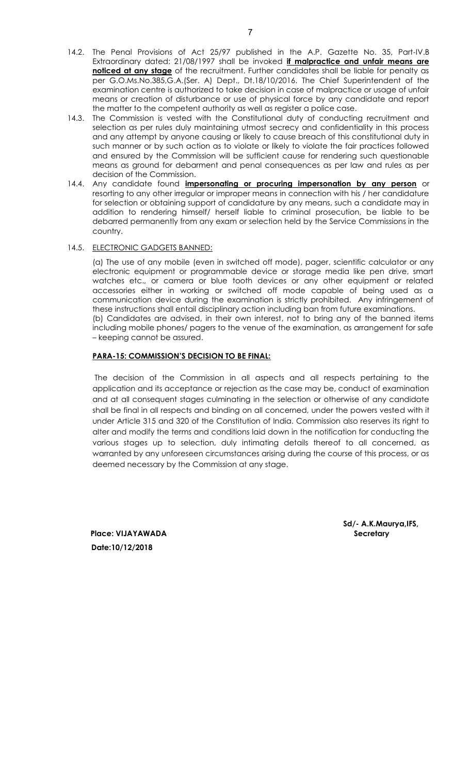- 14.2. The Penal Provisions of Act 25/97 published in the A.P. Gazette No. 35, Part-IV.B Extraordinary dated: 21/08/1997 shall be invoked **if malpractice and unfair means are noticed at any stage** of the recruitment. Further candidates shall be liable for penalty as per G.O.Ms.No.385,G.A.(Ser. A) Dept., Dt.18/10/2016. The Chief Superintendent of the examination centre is authorized to take decision in case of malpractice or usage of unfair means or creation of disturbance or use of physical force by any candidate and report the matter to the competent authority as well as register a police case.
- 14.3. The Commission is vested with the Constitutional duty of conducting recruitment and selection as per rules duly maintaining utmost secrecy and confidentiality in this process and any attempt by anyone causing or likely to cause breach of this constitutional duty in such manner or by such action as to violate or likely to violate the fair practices followed and ensured by the Commission will be sufficient cause for rendering such questionable means as ground for debarment and penal consequences as per law and rules as per decision of the Commission.
- 14.4. Any candidate found **impersonating or procuring impersonation by any person** or resorting to any other irregular or improper means in connection with his / her candidature for selection or obtaining support of candidature by any means, such a candidate may in addition to rendering himself/ herself liable to criminal prosecution, be liable to be debarred permanently from any exam or selection held by the Service Commissions in the country.
- 14.5. ELECTRONIC GADGETS BANNED:

 (a) The use of any mobile (even in switched off mode), pager, scientific calculator or any electronic equipment or programmable device or storage media like pen drive, smart watches etc., or camera or blue tooth devices or any other equipment or related accessories either in working or switched off mode capable of being used as a communication device during the examination is strictly prohibited. Any infringement of these instructions shall entail disciplinary action including ban from future examinations. (b) Candidates are advised, in their own interest, not to bring any of the banned items including mobile phones/ pagers to the venue of the examination, as arrangement for safe – keeping cannot be assured.

### **PARA-15: COMMISSION'S DECISION TO BE FINAL:**

 The decision of the Commission in all aspects and all respects pertaining to the application and its acceptance or rejection as the case may be, conduct of examination and at all consequent stages culminating in the selection or otherwise of any candidate shall be final in all respects and binding on all concerned, under the powers vested with it under Article 315 and 320 of the Constitution of India. Commission also reserves its right to alter and modify the terms and conditions laid down in the notification for conducting the various stages up to selection, duly intimating details thereof to all concerned, as warranted by any unforeseen circumstances arising during the course of this process, or as deemed necessary by the Commission at any stage.

**Sd/- A.K.Maurya,IFS,** 

**Place: VIJAYAWADA Secretary Date:10/12/2018**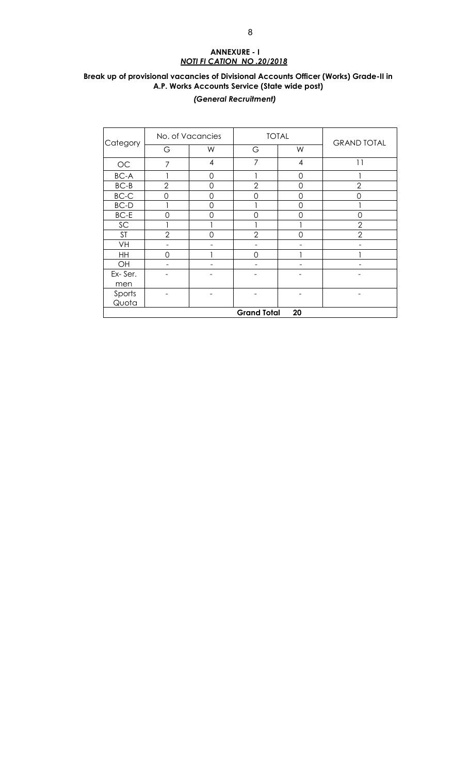# **ANNEXURE - I**  *NOTI FI CATION NO .20/2018*

# **Break up of provisional vacancies of Divisional Accounts Officer (Works) Grade-II in A.P. Works Accounts Service (State wide post)**

# *(General Recruitment)*

| Category                 | No. of Vacancies |                | <b>TOTAL</b>   |                | <b>GRAND TOTAL</b> |  |
|--------------------------|------------------|----------------|----------------|----------------|--------------------|--|
|                          | G                | W              | G              | W              |                    |  |
| $\rm OC$                 | 7                | $\overline{4}$ | 7              | $\overline{4}$ | 11                 |  |
| BC-A                     |                  | 0              |                | 0              |                    |  |
| $BC-B$                   | $\mathcal{P}$    | 0              | $\overline{2}$ | 0              | $\mathfrak{D}$     |  |
| $BC-C$                   | ∩                | ∩              | ∩              | 0              | 0                  |  |
| $BC-D$                   |                  | ∩              |                | 0              |                    |  |
| $BC-E$                   | $\Omega$         | Ω              | ∩              | 0              | ∩                  |  |
| SC                       |                  |                |                |                | 2                  |  |
| <b>ST</b>                | $\mathcal{P}$    | ∩              | $\overline{2}$ | 0              | $\mathcal{P}$      |  |
| VH                       |                  |                |                |                |                    |  |
| <b>HH</b>                | ∩                |                | ∩              |                |                    |  |
| OH                       |                  |                |                |                |                    |  |
| Ex-Ser.                  |                  |                |                |                |                    |  |
| men                      |                  |                |                |                |                    |  |
| Sports                   |                  |                |                |                |                    |  |
| Quota                    |                  |                |                |                |                    |  |
| <b>Grand Total</b><br>20 |                  |                |                |                |                    |  |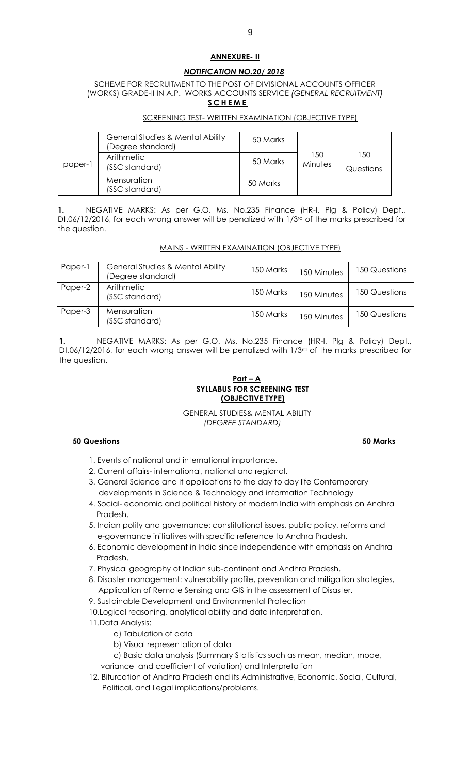## **ANNEXURE- II**

## *NOTIFICATION NO.20/ 2018*

SCHEME FOR RECRUITMENT TO THE POST OF DIVISIONAL ACCOUNTS OFFICER (WORKS) GRADE-II IN A.P. WORKS ACCOUNTS SERVICE *(GENERAL RECRUITMENT)* 

# **S C H E M E**

## SCREENING TEST- WRITTEN EXAMINATION (OBJECTIVE TYPE)

| paper-1 | General Studies & Mental Ability<br>(Degree standard) | 50 Marks |                | 150<br>Questions |
|---------|-------------------------------------------------------|----------|----------------|------------------|
|         | Arithmetic<br>(SSC standard)                          | 50 Marks | 150<br>Minutes |                  |
|         | Mensuration<br>(SSC standard)                         | 50 Marks |                |                  |

**1.** NEGATIVE MARKS: As per G.O. Ms. No.235 Finance (HR-I, Plg & Policy) Dept., Dt.06/12/2016, for each wrong answer will be penalized with 1/3rd of the marks prescribed for the question.

### MAINS - WRITTEN EXAMINATION (OBJECTIVE TYPE)

| Paper-1 | General Studies & Mental Ability<br>(Degree standard) | 150 Marks | 150 Minutes | 150 Questions |
|---------|-------------------------------------------------------|-----------|-------------|---------------|
| Paper-2 | Arithmetic<br>(SSC standard)                          | 150 Marks | 150 Minutes | 150 Questions |
| Paper-3 | Mensuration<br>(SSC standard)                         | 150 Marks | 150 Minutes | 150 Questions |

**1.** NEGATIVE MARKS: As per G.O. Ms. No.235 Finance (HR-I, Plg & Policy) Dept., Dt.06/12/2016, for each wrong answer will be penalized with 1/3rd of the marks prescribed for the question.

#### **Part – A SYLLABUS FOR SCREENING TEST (OBJECTIVE TYPE)**

GENERAL STUDIES& MENTAL ABILITY  *(DEGREE STANDARD)* 

## **50 Questions 50 Marks**

- 1. Events of national and international importance.
- 2. Current affairs- international, national and regional.
- 3. General Science and it applications to the day to day life Contemporary developments in Science & Technology and information Technology
- 4. Social- economic and political history of modern India with emphasis on Andhra Pradesh.
- 5. Indian polity and governance: constitutional issues, public policy, reforms and e-governance initiatives with specific reference to Andhra Pradesh.
- 6. Economic development in India since independence with emphasis on Andhra Pradesh.
- 7. Physical geography of Indian sub-continent and Andhra Pradesh.
- 8. Disaster management: vulnerability profile, prevention and mitigation strategies, Application of Remote Sensing and GIS in the assessment of Disaster.
- 9. Sustainable Development and Environmental Protection
- 10.Logical reasoning, analytical ability and data interpretation.
- 11.Data Analysis:
	- a) Tabulation of data
	- b) Visual representation of data
	- c) Basic data analysis (Summary Statistics such as mean, median, mode,
	- variance and coefficient of variation) and Interpretation
- 12. Bifurcation of Andhra Pradesh and its Administrative, Economic, Social, Cultural, Political, and Legal implications/problems.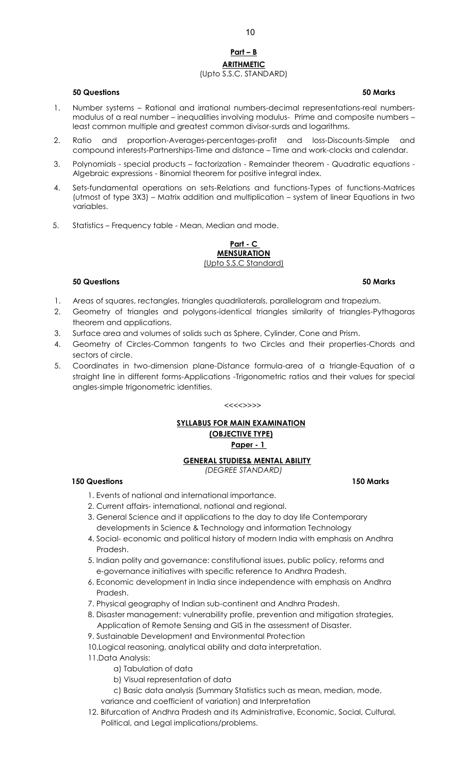# **Part – B**

# **ARITHMETIC**

# (Upto S.S.C. STANDARD)

### **50 Questions 50 Marks**

- 1. Number systems Rational and irrational numbers-decimal representations-real numbersmodulus of a real number – inequalities involving modulus- Prime and composite numbers – least common multiple and greatest common divisor-surds and logarithms.
- 2. Ratio and proportion-Averages-percentages-profit and loss-Discounts-Simple and compound interests-Partnerships-Time and distance – Time and work-clocks and calendar.
- 3. Polynomials special products factorization Remainder theorem Quadratic equations Algebraic expressions - Binomial theorem for positive integral index.
- 4. Sets-fundamental operations on sets-Relations and functions-Types of functions-Matrices (utmost of type 3X3) – Matrix addition and multiplication – system of linear Equations in two variables.
- 5. Statistics Frequency table Mean, Median and mode.

#### **Part - C MENSURATION**  (Upto S.S.C Standard)

### **50 Questions 50 Marks**

- 1. Areas of squares, rectangles, triangles quadrilaterals, parallelogram and trapezium.
- 2. Geometry of triangles and polygons-identical triangles similarity of triangles-Pythagoras theorem and applications.
- 3. Surface area and volumes of solids such as Sphere, Cylinder, Cone and Prism.
- 4. Geometry of Circles-Common tangents to two Circles and their properties-Chords and sectors of circle.
- 5. Coordinates in two-dimension plane-Distance formula-area of a triangle-Equation of a straight line in different forms-Applications -Trigonometric ratios and their values for special angles-simple trigonometric identities.

<<<<>>>>

# **SYLLABUS FOR MAIN EXAMINATION (OBJECTIVE TYPE) Paper - 1**

## **GENERAL STUDIES& MENTAL ABILITY**

 *(DEGREE STANDARD)* 

## **150 Questions 150 Marks**

- 1. Events of national and international importance.
- 2. Current affairs- international, national and regional.
- 3. General Science and it applications to the day to day life Contemporary developments in Science & Technology and information Technology
- 4. Social- economic and political history of modern India with emphasis on Andhra Pradesh.
- 5. Indian polity and governance: constitutional issues, public policy, reforms and e-governance initiatives with specific reference to Andhra Pradesh.
- 6. Economic development in India since independence with emphasis on Andhra Pradesh.
- 7. Physical geography of Indian sub-continent and Andhra Pradesh.
- 8. Disaster management: vulnerability profile, prevention and mitigation strategies, Application of Remote Sensing and GIS in the assessment of Disaster.
- 9. Sustainable Development and Environmental Protection
- 10.Logical reasoning, analytical ability and data interpretation.
- 11.Data Analysis:
	- a) Tabulation of data
	- b) Visual representation of data
	- c) Basic data analysis (Summary Statistics such as mean, median, mode,
	- variance and coefficient of variation) and Interpretation
- 12. Bifurcation of Andhra Pradesh and its Administrative, Economic, Social, Cultural, Political, and Legal implications/problems.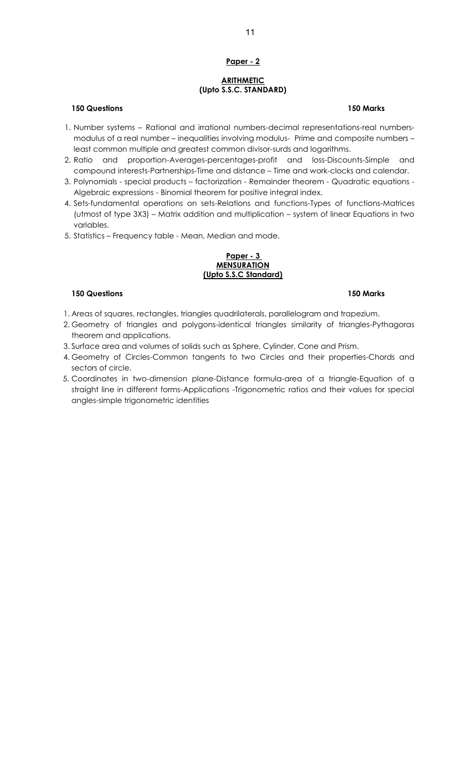# **Paper - 2**

## **ARITHMETIC (Upto S.S.C. STANDARD)**

## **150 Questions 150 Marks**

- 1. Number systems Rational and irrational numbers-decimal representations-real numbersmodulus of a real number – inequalities involving modulus- Prime and composite numbers – least common multiple and greatest common divisor-surds and logarithms.
- 2. Ratio and proportion-Averages-percentages-profit and loss-Discounts-Simple and compound interests-Partnerships-Time and distance – Time and work-clocks and calendar.
- 3. Polynomials special products factorization Remainder theorem Quadratic equations Algebraic expressions - Binomial theorem for positive integral index.
- 4. Sets-fundamental operations on sets-Relations and functions-Types of functions-Matrices (utmost of type 3X3) – Matrix addition and multiplication – system of linear Equations in two variables.
- 5. Statistics Frequency table Mean, Median and mode.

#### **Paper - 3 MENSURATION (Upto S.S.C Standard)**

### **150 Questions 150 Marks**

- 1. Areas of squares, rectangles, triangles quadrilaterals, parallelogram and trapezium.
- 2. Geometry of triangles and polygons-identical triangles similarity of triangles-Pythagoras theorem and applications.
- 3. Surface area and volumes of solids such as Sphere, Cylinder, Cone and Prism.
- 4. Geometry of Circles-Common tangents to two Circles and their properties-Chords and sectors of circle.
- 5. Coordinates in two-dimension plane-Distance formula-area of a triangle-Equation of a straight line in different forms-Applications -Trigonometric ratios and their values for special angles-simple trigonometric identities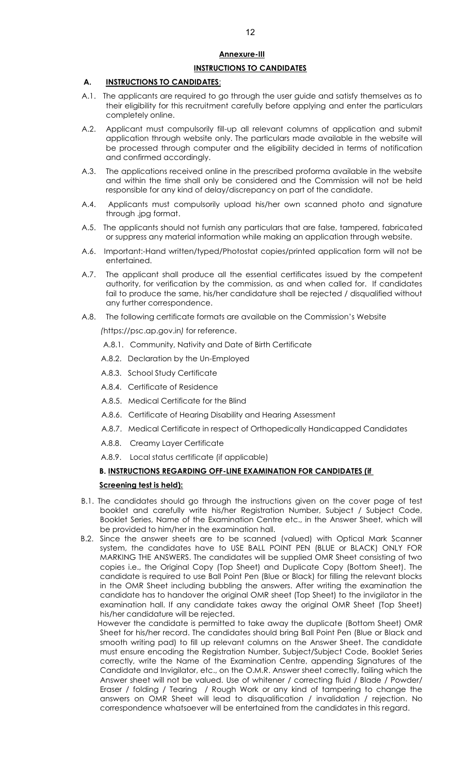## **Annexure-III**

## **INSTRUCTIONS TO CANDIDATES**

## **A.****INSTRUCTIONS TO CANDIDATES**:

- A.1. The applicants are required to go through the user guide and satisfy themselves as to their eligibility for this recruitment carefully before applying and enter the particulars completely online.
- A.2. Applicant must compulsorily fill-up all relevant columns of application and submit application through website only. The particulars made available in the website will be processed through computer and the eligibility decided in terms of notification and confirmed accordingly.
- A.3. The applications received online in the prescribed proforma available in the website and within the time shall only be considered and the Commission will not be held responsible for any kind of delay/discrepancy on part of the candidate.
- A.4. Applicants must compulsorily upload his/her own scanned photo and signature through .jpg format.
- A.5. The applicants should not furnish any particulars that are false, tampered, fabricated or suppress any material information while making an application through website.
- A.6. Important:-Hand written/typed/Photostat copies/printed application form will not be entertained.
- A.7. The applicant shall produce all the essential certificates issued by the competent authority, for verification by the commission, as and when called for. If candidates fail to produce the same, his/her candidature shall be rejected / disqualified without any further correspondence.
- A.8. The following certificate formats are available on the Commission's Website

*(*https://psc.ap.gov.in*)* for reference.

- A.8.1. Community, Nativity and Date of Birth Certificate
- A.8.2. Declaration by the Un-Employed
- A.8.3. School Study Certificate
- A.8.4. Certificate of Residence
- A.8.5. Medical Certificate for the Blind
- A.8.6. Certificate of Hearing Disability and Hearing Assessment
- A.8.7. Medical Certificate in respect of Orthopedically Handicapped Candidates
- A.8.8. Creamy Layer Certificate
- A.8.9. Local status certificate (if applicable)

#### **B. INSTRUCTIONS REGARDING OFF-LINE EXAMINATION FOR CANDIDATES (if**

#### **Screening test is held):**

- B.1. The candidates should go through the instructions given on the cover page of test booklet and carefully write his/her Registration Number, Subject / Subject Code, Booklet Series, Name of the Examination Centre etc., in the Answer Sheet, which will be provided to him/her in the examination hall.
- B.2. Since the answer sheets are to be scanned (valued) with Optical Mark Scanner system, the candidates have to USE BALL POINT PEN (BLUE or BLACK) ONLY FOR MARKING THE ANSWERS. The candidates will be supplied OMR Sheet consisting of two copies i.e., the Original Copy (Top Sheet) and Duplicate Copy (Bottom Sheet). The candidate is required to use Ball Point Pen (Blue or Black) for filling the relevant blocks in the OMR Sheet including bubbling the answers. After writing the examination the candidate has to handover the original OMR sheet (Top Sheet) to the invigilator in the examination hall. If any candidate takes away the original OMR Sheet (Top Sheet) his/her candidature will be rejected.

 However the candidate is permitted to take away the duplicate (Bottom Sheet) OMR Sheet for his/her record. The candidates should bring Ball Point Pen (Blue or Black and smooth writing pad) to fill up relevant columns on the Answer Sheet. The candidate must ensure encoding the Registration Number, Subject/Subject Code, Booklet Series correctly, write the Name of the Examination Centre, appending Signatures of the Candidate and Invigilator, etc., on the O.M.R. Answer sheet correctly, failing which the Answer sheet will not be valued. Use of whitener / correcting fluid / Blade / Powder/ Eraser / folding / Tearing / Rough Work or any kind of tampering to change the answers on OMR Sheet will lead to disqualification / invalidation / rejection. No correspondence whatsoever will be entertained from the candidates in this regard.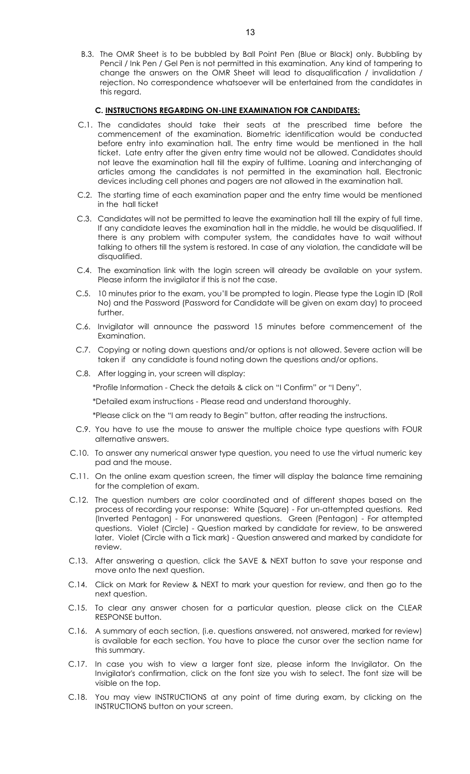B.3. The OMR Sheet is to be bubbled by Ball Point Pen (Blue or Black) only. Bubbling by Pencil / Ink Pen / Gel Pen is not permitted in this examination. Any kind of tampering to change the answers on the OMR Sheet will lead to disqualification / invalidation / rejection. No correspondence whatsoever will be entertained from the candidates in this regard.

## **C. INSTRUCTIONS REGARDING ON-LINE EXAMINATION FOR CANDIDATES:**

- C.1. The candidates should take their seats at the prescribed time before the commencement of the examination. Biometric identification would be conducted before entry into examination hall. The entry time would be mentioned in the hall ticket. Late entry after the given entry time would not be allowed. Candidates should not leave the examination hall till the expiry of fulltime. Loaning and interchanging of articles among the candidates is not permitted in the examination hall. Electronic devices including cell phones and pagers are not allowed in the examination hall.
- C.2. The starting time of each examination paper and the entry time would be mentioned in the hall ticket
- C.3. Candidates will not be permitted to leave the examination hall till the expiry of full time. If any candidate leaves the examination hall in the middle, he would be disqualified. If there is any problem with computer system, the candidates have to wait without talking to others till the system is restored. In case of any violation, the candidate will be disqualified.
- C.4. The examination link with the login screen will already be available on your system. Please inform the invigilator if this is not the case.
- C.5. 10 minutes prior to the exam, you'll be prompted to login. Please type the Login ID (Roll No) and the Password (Password for Candidate will be given on exam day) to proceed further.
- C.6. Invigilator will announce the password 15 minutes before commencement of the Examination.
- C.7. Copying or noting down questions and/or options is not allowed. Severe action will be taken if any candidate is found noting down the questions and/or options.
- C.8. After logging in, your screen will display:

\*Profile Information - Check the details & click on "I Confirm" or "I Deny".

\*Detailed exam instructions - Please read and understand thoroughly.

\*Please click on the "I am ready to Begin" button, after reading the instructions.

- C.9. You have to use the mouse to answer the multiple choice type questions with FOUR alternative answers.
- C.10. To answer any numerical answer type question, you need to use the virtual numeric key pad and the mouse.
- C.11. On the online exam question screen, the timer will display the balance time remaining for the completion of exam.
- C.12. The question numbers are color coordinated and of different shapes based on the process of recording your response: White (Square) - For un-attempted questions. Red (Inverted Pentagon) - For unanswered questions. Green (Pentagon) - For attempted questions. Violet (Circle) - Question marked by candidate for review, to be answered later. Violet (Circle with a Tick mark) - Question answered and marked by candidate for review.
- C.13. After answering a question, click the SAVE & NEXT button to save your response and move onto the next question.
- C.14. Click on Mark for Review & NEXT to mark your question for review, and then go to the next question.
- C.15. To clear any answer chosen for a particular question, please click on the CLEAR RESPONSE button.
- C.16. A summary of each section, (i.e. questions answered, not answered, marked for review) is available for each section. You have to place the cursor over the section name for this summary.
- C.17. In case you wish to view a larger font size, please inform the Invigilator. On the Invigilator's confirmation, click on the font size you wish to select. The font size will be visible on the top.
- C.18. You may view INSTRUCTIONS at any point of time during exam, by clicking on the INSTRUCTIONS button on your screen.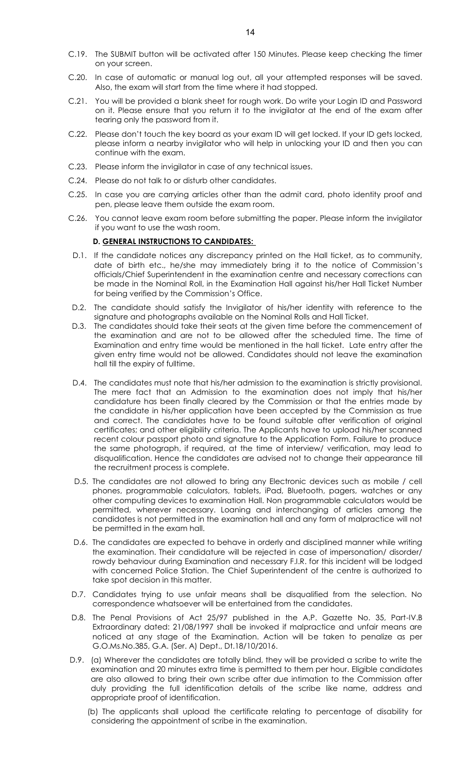- C.19. The SUBMIT button will be activated after 150 Minutes. Please keep checking the timer on your screen.
- C.20. In case of automatic or manual log out, all your attempted responses will be saved. Also, the exam will start from the time where it had stopped.
- C.21. You will be provided a blank sheet for rough work. Do write your Login ID and Password on it. Please ensure that you return it to the invigilator at the end of the exam after tearing only the password from it.
- C.22. Please don't touch the key board as your exam ID will get locked. If your ID gets locked, please inform a nearby invigilator who will help in unlocking your ID and then you can continue with the exam.
- C.23. Please inform the invigilator in case of any technical issues.
- C.24. Please do not talk to or disturb other candidates.
- C.25. In case you are carrying articles other than the admit card, photo identity proof and pen, please leave them outside the exam room.
- C.26. You cannot leave exam room before submitting the paper. Please inform the invigilator if you want to use the wash room.

### **D. GENERAL INSTRUCTIONS TO CANDIDATES:**

- D.1. If the candidate notices any discrepancy printed on the Hall ticket, as to community, date of birth etc., he/she may immediately bring it to the notice of Commission's officials/Chief Superintendent in the examination centre and necessary corrections can be made in the Nominal Roll, in the Examination Hall against his/her Hall Ticket Number for being verified by the Commission's Office.
- D.2. The candidate should satisfy the Invigilator of his/her identity with reference to the signature and photographs available on the Nominal Rolls and Hall Ticket.
- D.3. The candidates should take their seats at the given time before the commencement of the examination and are not to be allowed after the scheduled time. The time of Examination and entry time would be mentioned in the hall ticket. Late entry after the given entry time would not be allowed. Candidates should not leave the examination hall till the expiry of fulltime.
- D.4. The candidates must note that his/her admission to the examination is strictly provisional. The mere fact that an Admission to the examination does not imply that his/her candidature has been finally cleared by the Commission or that the entries made by the candidate in his/her application have been accepted by the Commission as true and correct. The candidates have to be found suitable after verification of original certificates; and other eligibility criteria. The Applicants have to upload his/her scanned recent colour passport photo and signature to the Application Form. Failure to produce the same photograph, if required, at the time of interview/ verification, may lead to disqualification. Hence the candidates are advised not to change their appearance till the recruitment process is complete.
- D.5. The candidates are not allowed to bring any Electronic devices such as mobile / cell phones, programmable calculators, tablets, iPad, Bluetooth, pagers, watches or any other computing devices to examination Hall. Non programmable calculators would be permitted, wherever necessary. Loaning and interchanging of articles among the candidates is not permitted in the examination hall and any form of malpractice will not be permitted in the exam hall.
- D.6. The candidates are expected to behave in orderly and disciplined manner while writing the examination. Their candidature will be rejected in case of impersonation/ disorder/ rowdy behaviour during Examination and necessary F.I.R. for this incident will be lodged with concerned Police Station. The Chief Superintendent of the centre is authorized to take spot decision in this matter.
- D.7. Candidates trying to use unfair means shall be disqualified from the selection. No correspondence whatsoever will be entertained from the candidates.
- D.8. The Penal Provisions of Act 25/97 published in the A.P. Gazette No. 35, Part-IV.B Extraordinary dated: 21/08/1997 shall be invoked if malpractice and unfair means are noticed at any stage of the Examination. Action will be taken to penalize as per G.O.Ms.No.385, G.A. (Ser. A) Dept., Dt.18/10/2016.
- D.9. (a) Wherever the candidates are totally blind, they will be provided a scribe to write the examination and 20 minutes extra time is permitted to them per hour. Eligible candidates are also allowed to bring their own scribe after due intimation to the Commission after duly providing the full identification details of the scribe like name, address and appropriate proof of identification.
	- (b) The applicants shall upload the certificate relating to percentage of disability for considering the appointment of scribe in the examination.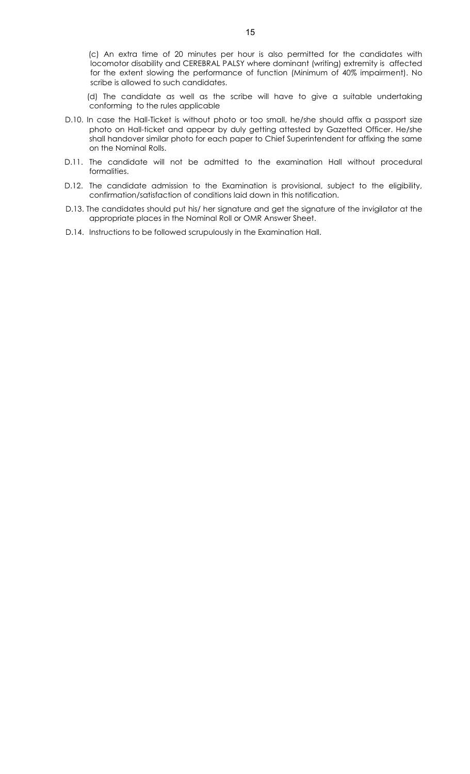(c) An extra time of 20 minutes per hour is also permitted for the candidates with locomotor disability and CEREBRAL PALSY where dominant (writing) extremity is affected for the extent slowing the performance of function (Minimum of 40% impairment). No scribe is allowed to such candidates.

 (d) The candidate as well as the scribe will have to give a suitable undertaking conforming to the rules applicable

- D.10. In case the Hall-Ticket is without photo or too small, he/she should affix a passport size photo on Hall-ticket and appear by duly getting attested by Gazetted Officer. He/she shall handover similar photo for each paper to Chief Superintendent for affixing the same on the Nominal Rolls.
- D.11. The candidate will not be admitted to the examination Hall without procedural formalities.
- D.12. The candidate admission to the Examination is provisional, subject to the eligibility, confirmation/satisfaction of conditions laid down in this notification.
- D.13. The candidates should put his/ her signature and get the signature of the invigilator at the appropriate places in the Nominal Roll or OMR Answer Sheet.
- D.14. Instructions to be followed scrupulously in the Examination Hall.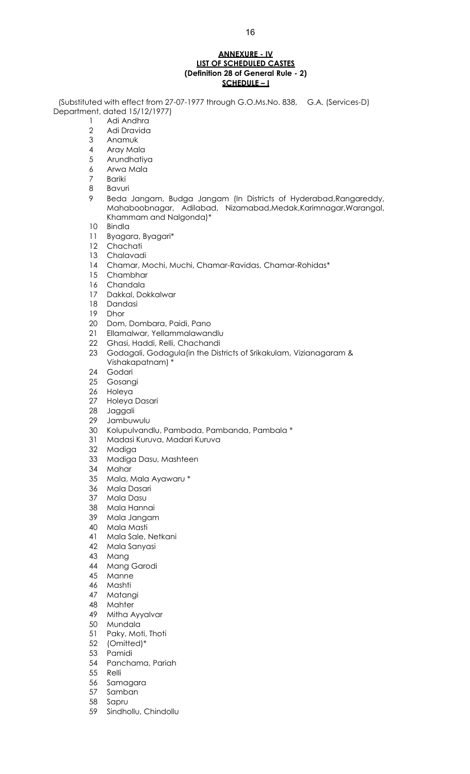## **ANNEXURE - IV LIST OF SCHEDULED CASTES (Definition 28 of General Rule - 2) SCHEDULE – I**

 (Substituted with effect from 27-07-1977 through G.O.Ms.No. 838, G.A. (Services-D) Department, dated 15/12/1977)

- Adi Andhra
	- Adi Dravida
	- Anamuk
	- Aray Mala
	- Arundhatiya
- Arwa Mala
- Bariki
- Bavuri
- Beda Jangam, Budga Jangam (In Districts of Hyderabad,Rangareddy, Mahaboobnagar, Adilabad, Nizamabad,Medak,Karimnagar,Warangal, Khammam and Nalgonda)\*
- Bindla
- Byagara, Byagari\*
- Chachati
- Chalavadi
- Chamar, Mochi, Muchi, Chamar-Ravidas, Chamar-Rohidas\*
- Chambhar
- Chandala
- Dakkal, Dokkalwar
- Dandasi
- Dhor
- Dom, Dombara, Paidi, Pano
- Ellamalwar, Yellammalawandlu
- Ghasi, Haddi, Relli, Chachandi
- Godagali, Godagula(in the Districts of Srikakulam, Vizianagaram & Vishakapatnam) \*
- Godari
- Gosangi
- Holeya
- Holeya Dasari
- Jaggali
- Jambuwulu
- Kolupulvandlu, Pambada, Pambanda, Pambala \*
- Madasi Kuruva, Madari Kuruva
- 
- 32 Madiga<br>33 Madiga Madiga Dasu, Mashteen
- Mahar
- Mala, Mala Ayawaru \*
- Mala Dasari
- Mala Dasu
- Mala Hannai
- Mala Jangam
- Mala Masti
- Mala Sale, Netkani
- Mala Sanyasi
- Mang
- Mang Garodi
- Manne
- Mashti
- Matangi
- Mahter
- Mitha Ayyalvar
- Mundala
- Paky, Moti, Thoti
- (Omitted)\*
- Pamidi
- Panchama, Pariah
- Relli
- Samagara
- 57 Samban<br>58 Sapru
- Sapru
- Sindhollu, Chindollu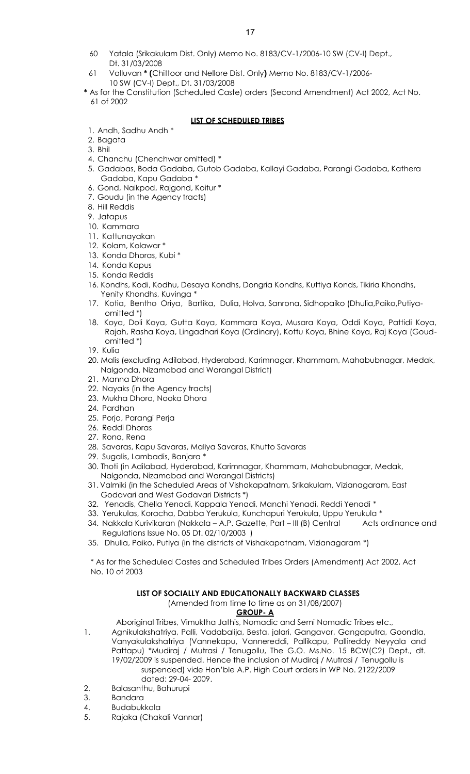- 60 Yatala (Srikakulam Dist. Only) Memo No. 8183/CV-1/2006-10 SW (CV-I) Dept., Dt. 31/03/2008
- 61 Valluvan **\* (**Chittoor and Nellore Dist. Only**)** Memo No. 8183/CV-1/2006- 10 SW (CV-I) Dept., Dt. 31/03/2008
- **\*** As for the Constitution (Scheduled Caste) orders (Second Amendment) Act 2002, Act No. 61 of 2002

## **LIST OF SCHEDULED TRIBES**

- 1. Andh, Sadhu Andh \*
- 2. Bagata
- 3. Bhil
- 4. Chanchu (Chenchwar omitted) \*
- 5. Gadabas, Boda Gadaba, Gutob Gadaba, Kallayi Gadaba, Parangi Gadaba, Kathera Gadaba, Kapu Gadaba \*
- 6. Gond, Naikpod, Rajgond, Koitur \*
- 7. Goudu (in the Agency tracts)
- 8. Hill Reddis
- 9. Jatapus
- 10. Kammara
- 11. Kattunayakan
- 12. Kolam, Kolawar \*
- 13. Konda Dhoras, Kubi \*
- 14. Konda Kapus
- 15. Konda Reddis
- 16. Kondhs, Kodi, Kodhu, Desaya Kondhs, Dongria Kondhs, Kuttiya Konds, Tikiria Khondhs, Yenity Khondhs, Kuvinga \*
- 17. Kotia, Bentho Oriya, Bartika, Dulia, Holva, Sanrona, Sidhopaiko (Dhulia,Paiko,Putiyaomitted \*)
- 18. Koya, Doli Koya, Gutta Koya, Kammara Koya, Musara Koya, Oddi Koya, Pattidi Koya, Rajah, Rasha Koya, Lingadhari Koya (Ordinary), Kottu Koya, Bhine Koya, Raj Koya (Goudomitted \*)
- 19. Kulia
- 20. Malis (excluding Adilabad, Hyderabad, Karimnagar, Khammam, Mahabubnagar, Medak, Nalgonda, Nizamabad and Warangal District)
- 21. Manna Dhora
- 22. Nayaks (in the Agency tracts)
- 23. Mukha Dhora, Nooka Dhora
- 24. Pardhan
- 25. Porja, Parangi Perja
- 26. Reddi Dhoras
- 27. Rona, Rena
- 28. Savaras, Kapu Savaras, Maliya Savaras, Khutto Savaras
- 29. Sugalis, Lambadis, Banjara \*
- 30. Thoti (in Adilabad, Hyderabad, Karimnagar, Khammam, Mahabubnagar, Medak, Nalgonda, Nizamabad and Warangal Districts)
- 31. Valmiki (in the Scheduled Areas of Vishakapatnam, Srikakulam, Vizianagaram, East Godavari and West Godavari Districts \*)
- 32. Yenadis, Chella Yenadi, Kappala Yenadi, Manchi Yenadi, Reddi Yenadi \*
- 33. Yerukulas, Koracha, Dabba Yerukula, Kunchapuri Yerukula, Uppu Yerukula \*
- 34. Nakkala Kurivikaran (Nakkala A.P. Gazette, Part III (B) Central Acts ordinance and Regulations Issue No. 05 Dt. 02/10/2003 )
- 35. Dhulia, Paiko, Putiya (in the districts of Vishakapatnam, Vizianagaram \*)

 \* As for the Scheduled Castes and Scheduled Tribes Orders (Amendment) Act 2002, Act No. 10 of 2003

# **LIST OF SOCIALLY AND EDUCATIONALLY BACKWARD CLASSES**

(Amended from time to time as on 31/08/2007)

# **GROUP- A**

Aboriginal Tribes, Vimuktha Jathis, Nomadic and Semi Nomadic Tribes etc.,

- 1. Agnikulakshatriya, Palli, Vadabalija, Besta, jalari, Gangavar, Gangaputra, Goondla, Vanyakulakshatriya (Vannekapu, Vannereddi, Pallikapu, Pallireddy Neyyala and Pattapu) \*Mudiraj / Mutrasi / Tenugollu, The G.O. Ms.No. 15 BCW(C2) Dept., dt. 19/02/2009 is suspended. Hence the inclusion of Mudiraj / Mutrasi / Tenugollu is suspended) vide Hon'ble A.P. High Court orders in WP No. 2122/2009
	- dated: 29-04- 2009.
- 2. Balasanthu, Bahurupi
- 3. Bandara
- 4. Budabukkala
- 5. Rajaka (Chakali Vannar)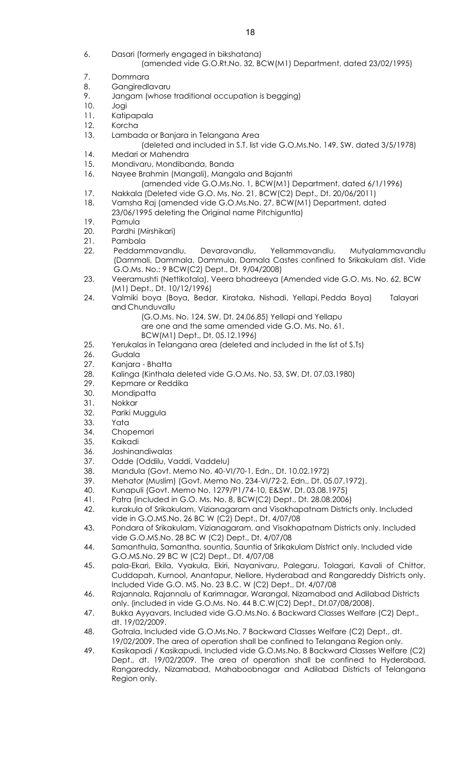- 7. Dommara
- 8. Gangiredlavaru
- 9. Jangam (whose traditional occupation is begging)<br>10. Joai
- 10. Jogi
- 11. Katipapala
- 12. Korcha
- 13. Lambada or Banjara in Telangana Area
	- (deleted and included in S.T. list vide G.O.Ms.No. 149, SW, dated 3/5/1978)
- 14. Medari or Mahendra
- 15. Mondivaru, Mondibanda, Banda
- 16. Nayee Brahmin (Mangali), Mangala and Bajantri (amended vide G.O.Ms.No. 1, BCW(M1) Department, dated 6/1/1996)
- 17. Nakkala (Deleted vide G.O. Ms. No. 21, BCW(C2) Dept., Dt. 20/06/2011)
- 18. Vamsha Raj (amended vide G.O.Ms.No. 27, BCW(M1) Department, dated 23/06/1995 deleting the Original name Pitchiguntla)
- 19. Pamula
- 20. Pardhi (Mirshikari)
- 21. Pambala
- 22. Peddammavandlu, Devaravandlu, Yellammavandlu, Mutyalammavandlu (Dammali, Dammala, Dammula, Damala Castes confined to Srikakulam dist. Vide G.O.Ms. No.: 9 BCW(C2) Dept., Dt. 9/04/2008)
- 23. Veeramushti (Nettikotala), Veera bhadreeya (Amended vide G.O. Ms. No. 62, BCW (M1) Dept., Dt. 10/12/1996)
- 24. Valmiki boya (Boya, Bedar, Kirataka, Nishadi, Yellapi, Pedda Boya) Talayari and Chunduvallu
	- (G.O.Ms. No. 124, SW, Dt. 24.06.85) Yellapi and Yellapu are one and the same amended vide G.O. Ms. No. 61, BCW(M1) Dept., Dt. 05.12.1996)
- 25. Yerukalas in Telangana area (deleted and included in the list of S.Ts)
- 26. Gudala
- 27. Kanjara Bhatta
- 28. Kalinga (Kinthala deleted vide G.O.Ms. No. 53, SW, Dt. 07.03.1980)
- 29. Kepmare or Reddika
- 30. Mondipatta
- 31. Nokkar
- 32. Pariki Muggula
- 33. Yata
- 34. Chopemari
- 35. Kaikadi
- 36. Joshinandiwalas
- 37. Odde (Oddilu, Vaddi, Vaddelu)
- 38. Mandula (Govt. Memo No. 40-VI/70-1, Edn., Dt. 10.02.1972)
- 39. Mehator (Muslim) (Govt. Memo No. 234-VI/72-2, Edn., Dt. 05.07.1972).
- 40. Kunapuli (Govt. Memo No. 1279/P1/74-10, E&SW, Dt. 03.08.1975)
- 41. Patra (included in G.O. Ms. No. 8, BCW(C2) Dept., Dt. 28.08.2006)
- 42. kurakula of Srikakulam, Vizianagaram and Visakhapatnam Districts only. Included vide in G.O.MS.No. 26 BC W (C2) Dept., Dt. 4/07/08
- 43. Pondara of Srikakulam, Vizianagaram, and Visakhapatnam Districts only. Included vide G.O.MS.No. 28 BC W (C2) Dept., Dt. 4/07/08
- 44. Samanthula, Samantha, sountia, Sauntia of Srikakulam District only. Included vide G.O.MS.No. 29 BC W (C2) Dept., Dt. 4/07/08
- 45. pala-Ekari, Ekila, Vyakula, Ekiri, Nayanivaru, Palegaru, Tolagari, Kavali of Chittor, Cuddapah, Kurnool, Anantapur, Nellore, Hyderabad and Rangareddy Districts only. Included Vide G.O. MS. No. 23 B.C. W (C2) Dept., Dt. 4/07/08
- 46. Rajannala, Rajannalu of Karimnagar, Warangal, Nizamabad and Adilabad Districts only. (included in vide G.O.Ms. No. 44 B.C.W(C2) Dept., Dt.07/08/2008).
- 47. Bukka Ayyavars, Included vide G.O.Ms.No. 6 Backward Classes Welfare (C2) Dept., dt. 19/02/2009.
- 48. Gotrala, Included vide G.O.Ms.No. 7 Backward Classes Welfare (C2) Dept., dt. 19/02/2009. The area of operation shall be confined to Telangana Region only.
- 49. Kasikapadi / Kasikapudi, Included vide G.O.Ms.No. 8 Backward Classes Welfare (C2) Dept., dt. 19/02/2009. The area of operation shall be confined to Hyderabad, Rangareddy, Nizamabad, Mahaboobnagar and Adilabad Districts of Telangana Region only.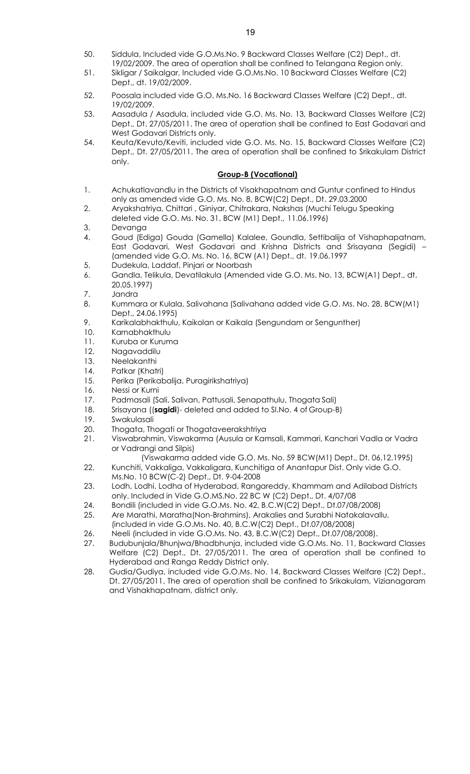- 50. Siddula, Included vide G.O.Ms.No. 9 Backward Classes Welfare (C2) Dept., dt. 19/02/2009. The area of operation shall be confined to Telangana Region only.
- 51. Sikligar / Saikalgar, Included vide G.O.Ms.No. 10 Backward Classes Welfare (C2) Dept., dt. 19/02/2009.
- 52. Poosala included vide G.O. Ms.No. 16 Backward Classes Welfare (C2) Dept., dt. 19/02/2009.
- 53. Aasadula / Asadula, included vide G.O. Ms. No. 13, Backward Classes Welfare (C2) Dept., Dt. 27/05/2011. The area of operation shall be confined to East Godavari and West Godavari Districts only.
- 54. Keuta/Kevuto/Keviti, included vide G.O. Ms. No. 15, Backward Classes Welfare (C2) Dept., Dt. 27/05/2011. The area of operation shall be confined to Srikakulam District only.

## **Group-B (Vocational)**

- 1. Achukatlavandlu in the Districts of Visakhapatnam and Guntur confined to Hindus only as amended vide G.O. Ms. No. 8, BCW(C2) Dept., Dt. 29.03.2000
- 2. Aryakshatriya, Chittari , Giniyar, Chitrakara, Nakshas (Muchi Telugu Speaking deleted vide G.O. Ms. No. 31, BCW (M1) Dept., 11.06.1996)
- 3. Devanga
- 4. Goud (Ediga) Gouda (Gamella) Kalalee, Goundla, Settibalija of Vishaphapatnam, East Godavari, West Godavari and Krishna Districts and Srisayana (Segidi) – (amended vide G.O. Ms. No. 16, BCW (A1) Dept., dt. 19.06.1997
- 5. Dudekula, Laddaf, Pinjari or Noorbash
- 6. Gandla, Telikula, Devatilakula (Amended vide G.O. Ms. No. 13, BCW(A1) Dept., dt. 20.05.1997)
- 7. Jandra
- 8. Kummara or Kulala, Salivahana (Salivahana added vide G.O. Ms. No. 28, BCW(M1) Dept., 24.06.1995)
- 9. Karikalabhakthulu, Kaikolan or Kaikala (Sengundam or Sengunther)
- 10. Karnabhakthulu
- 11. Kuruba or Kuruma
- 12. Nagavaddilu
- 13. Neelakanthi
- 14. Patkar (Khatri)
- 15. Perika (Perikabalija, Puragirikshatriya)
- 16. Nessi or Kurni
- 17. Padmasali (Sali, Salivan, Pattusali, Senapathulu, Thogata Sali)
- 18. Srisayana ((**sagidi**)- deleted and added to Sl.No. 4 of Group-B)
- 19. Swakulasali
- 20. Thogata, Thogati or Thogataveerakshtriya
- 21. Viswabrahmin, Viswakarma (Ausula or Kamsali, Kammari, Kanchari Vadla or Vadra or Vadrangi and Silpis)
	- (Viswakarma added vide G.O. Ms. No. 59 BCW(M1) Dept., Dt. 06.12.1995)
- 22. Kunchiti, Vakkaliga, Vakkaligara, Kunchitiga of Anantapur Dist. Only vide G.O. Ms.No. 10 BCW(C-2) Dept., Dt. 9-04-2008
- 23. Lodh, Lodhi, Lodha of Hyderabad, Rangareddy, Khammam and Adilabad Districts only. Included in Vide G.O.MS.No. 22 BC W (C2) Dept., Dt. 4/07/08
- 24. Bondili (included in vide G.O.Ms. No. 42, B.C.W(C2) Dept., Dt.07/08/2008)
- 25. Are Marathi, Maratha(Non-Brahmins), Arakalies and Surabhi Natakalavallu. (included in vide G.O.Ms. No. 40, B.C.W(C2) Dept., Dt.07/08/2008)
- 26. Neeli (included in vide G.O.Ms. No. 43, B.C.W(C2) Dept., Dt.07/08/2008).
- 27. Budubunjala/Bhunjwa/Bhadbhunja, included vide G.O.Ms. No. 11, Backward Classes Welfare (C2) Dept., Dt. 27/05/2011. The area of operation shall be confined to Hyderabad and Ranga Reddy District only.
- 28. Gudia/Gudiya, included vide G.O.Ms. No. 14, Backward Classes Welfare (C2) Dept., Dt. 27/05/2011. The area of operation shall be confined to Srikakulam, Vizianagaram and Vishakhapatnam, district only.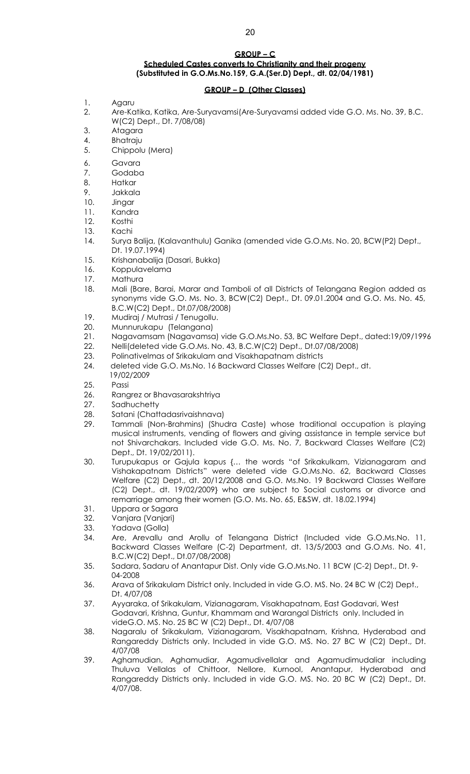#### **GROUP – C Scheduled Castes converts to Christianity and their progeny (Substituted in G.O.Ms.No.159, G.A.(Ser.D) Dept., dt. 02/04/1981)**

# **GROUP – D (Other Classes)**

- 1. Agaru
- 2. Are-Katika, Katika, Are-Suryavamsi(Are-Suryavamsi added vide G.O. Ms. No. 39, B.C. W(C2) Dept., Dt. 7/08/08)
- 3. Atagara
- 4. Bhatraju
- 5. Chippolu (Mera)
- 6. Gavara
- 7. Godaba
- 8. Hatkar
- 
- 9. Jakkala<br>10. Jinaar **Jingar**
- 11. Kandra
- 12. Kosthi
- 13. Kachi
- 14. Surya Balija, (Kalavanthulu) Ganika (amended vide G.O.Ms. No. 20, BCW(P2) Dept., Dt. 19.07.1994)
- 15. Krishanabalija (Dasari, Bukka)
- 16. Koppulavelama
- 17. Mathura
- 18. Mali (Bare, Barai, Marar and Tamboli of all Districts of Telangana Region added as synonyms vide G.O. Ms. No. 3, BCW(C2) Dept., Dt. 09.01.2004 and G.O. Ms. No. 45, B.C.W(C2) Dept., Dt.07/08/2008)
- 19. Mudiraj / Mutrasi / Tenugollu.
- 20. Munnurukapu (Telangana)
- 21. Nagavamsam (Nagavamsa) vide G.O.Ms.No. 53, BC Welfare Dept., dated:19/09/1996
- 22. Nelli(deleted vide G.O.Ms. No. 43, B.C.W(C2) Dept., Dt.07/08/2008)
- 23. Polinativelmas of Srikakulam and Visakhapatnam districts
- 24. deleted vide G.O. Ms.No. 16 Backward Classes Welfare (C2) Dept., dt. 19/02/2009
- 25. Passi
- 26. Rangrez or Bhavasarakshtriya
- 27. Sadhuchetty
- 28. Satani (Chattadasrivaishnava)
- 29. Tammali (Non-Brahmins) (Shudra Caste) whose traditional occupation is playing musical instruments, vending of flowers and giving assistance in temple service but not Shivarchakars. Included vide G.O. Ms. No. 7, Backward Classes Welfare (C2) Dept., Dt. 19/02/2011).
- 30. Turupukapus or Gajula kapus {… the words "of Srikakulkam, Vizianagaram and Vishakapatnam Districts" were deleted vide G.O.Ms.No. 62, Backward Classes Welfare (C2) Dept., dt. 20/12/2008 and G.O. Ms.No. 19 Backward Classes Welfare (C2) Dept., dt. 19/02/2009} who are subject to Social customs or divorce and remarriage among their women (G.O. Ms. No. 65, E&SW, dt. 18.02.1994)
- 31. Uppara or Sagara
- 32. Vanjara (Vanjari)
- 33. Yadava (Golla)
- 34. Are, Arevallu and Arollu of Telangana District (Included vide G.O.Ms.No. 11, Backward Classes Welfare (C-2) Department, dt. 13/5/2003 and G.O.Ms. No. 41, B.C.W(C2) Dept., Dt.07/08/2008)
- 35. Sadara, Sadaru of Anantapur Dist. Only vide G.O.Ms.No. 11 BCW (C-2) Dept., Dt. 9- 04-2008
- 36. Arava of Srikakulam District only. Included in vide G.O. MS. No. 24 BC W (C2) Dept., Dt. 4/07/08
- 37. Ayyaraka, of Srikakulam, Vizianagaram, Visakhapatnam, East Godavari, West Godavari, Krishna, Guntur, Khammam and Warangal Districts only. Included in videG.O. MS. No. 25 BC W (C2) Dept., Dt. 4/07/08
- 38. Nagaralu of Srikakulam, Vizianagaram, Visakhapatnam, Krishna, Hyderabad and Rangareddy Districts only. Included in vide G.O. MS. No. 27 BC W (C2) Dept., Dt. 4/07/08
- 39. Aghamudian, Aghamudiar, Agamudivellalar and Agamudimudaliar including Thuluva Vellalas of Chittoor, Nellore, Kurnool, Anantapur, Hyderabad and Rangareddy Districts only. Included in vide G.O. MS. No. 20 BC W (C2) Dept., Dt. 4/07/08.